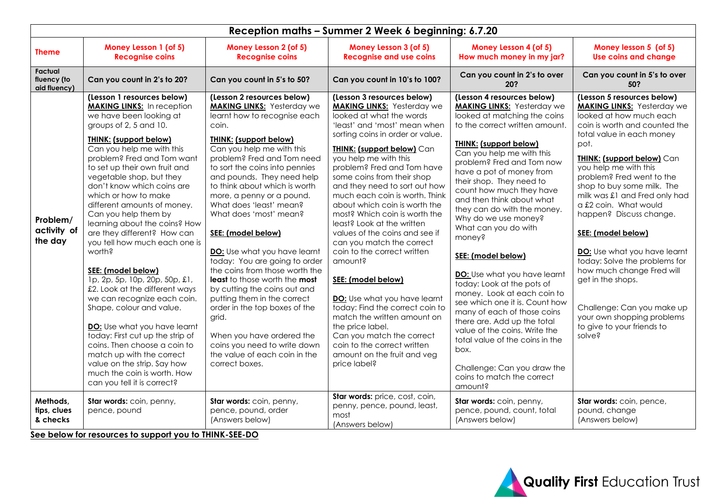| Reception maths - Summer 2 Week 6 beginning: 6.7.20 |                                                                                                                                                                                                                                                                                                                                                                                                                                                                                                                                                                                                                                                                                                                                                                                                                                                                                          |                                                                                                                                                                                                                                                                                                                                                                                                                                                                                                                                                                                                                                                                                                                                                                            |                                                                                                                                                                                                                                                                                                                                                                                                                                                                                                                                                                                                                                                                                                                                                                                                                              |                                                                                                                                                                                                                                                                                                                                                                                                                                                                                                                                                                                                                                                                                                                                                                                                               |                                                                                                                                                                                                                                                                                                                                                                                                                                                                                                                                                                                                                             |  |  |  |
|-----------------------------------------------------|------------------------------------------------------------------------------------------------------------------------------------------------------------------------------------------------------------------------------------------------------------------------------------------------------------------------------------------------------------------------------------------------------------------------------------------------------------------------------------------------------------------------------------------------------------------------------------------------------------------------------------------------------------------------------------------------------------------------------------------------------------------------------------------------------------------------------------------------------------------------------------------|----------------------------------------------------------------------------------------------------------------------------------------------------------------------------------------------------------------------------------------------------------------------------------------------------------------------------------------------------------------------------------------------------------------------------------------------------------------------------------------------------------------------------------------------------------------------------------------------------------------------------------------------------------------------------------------------------------------------------------------------------------------------------|------------------------------------------------------------------------------------------------------------------------------------------------------------------------------------------------------------------------------------------------------------------------------------------------------------------------------------------------------------------------------------------------------------------------------------------------------------------------------------------------------------------------------------------------------------------------------------------------------------------------------------------------------------------------------------------------------------------------------------------------------------------------------------------------------------------------------|---------------------------------------------------------------------------------------------------------------------------------------------------------------------------------------------------------------------------------------------------------------------------------------------------------------------------------------------------------------------------------------------------------------------------------------------------------------------------------------------------------------------------------------------------------------------------------------------------------------------------------------------------------------------------------------------------------------------------------------------------------------------------------------------------------------|-----------------------------------------------------------------------------------------------------------------------------------------------------------------------------------------------------------------------------------------------------------------------------------------------------------------------------------------------------------------------------------------------------------------------------------------------------------------------------------------------------------------------------------------------------------------------------------------------------------------------------|--|--|--|
| <b>Theme</b>                                        | Money Lesson 1 (of 5)<br><b>Recognise coins</b>                                                                                                                                                                                                                                                                                                                                                                                                                                                                                                                                                                                                                                                                                                                                                                                                                                          | Money Lesson 2 (of 5)<br><b>Recognise coins</b>                                                                                                                                                                                                                                                                                                                                                                                                                                                                                                                                                                                                                                                                                                                            | Money Lesson 3 (of 5)<br><b>Recognise and use coins</b>                                                                                                                                                                                                                                                                                                                                                                                                                                                                                                                                                                                                                                                                                                                                                                      | Money Lesson 4 (of 5)<br>How much money in my jar?                                                                                                                                                                                                                                                                                                                                                                                                                                                                                                                                                                                                                                                                                                                                                            | Money lesson 5 (of 5)<br><b>Use coins and change</b>                                                                                                                                                                                                                                                                                                                                                                                                                                                                                                                                                                        |  |  |  |
| Factual<br>fluency (to<br>aid fluency)              | Can you count in 2's to 20?                                                                                                                                                                                                                                                                                                                                                                                                                                                                                                                                                                                                                                                                                                                                                                                                                                                              | Can you count in 5's to 50?                                                                                                                                                                                                                                                                                                                                                                                                                                                                                                                                                                                                                                                                                                                                                | Can you count in 10's to 100?                                                                                                                                                                                                                                                                                                                                                                                                                                                                                                                                                                                                                                                                                                                                                                                                | Can you count in 2's to over<br>20?                                                                                                                                                                                                                                                                                                                                                                                                                                                                                                                                                                                                                                                                                                                                                                           | Can you count in 5's to over<br>50?                                                                                                                                                                                                                                                                                                                                                                                                                                                                                                                                                                                         |  |  |  |
| Problem/<br>activity of<br>the day                  | (Lesson 1 resources below)<br><b>MAKING LINKS:</b> In reception<br>we have been looking at<br>groups of 2, 5 and 10.<br><b>THINK: (support below)</b><br>Can you help me with this<br>problem? Fred and Tom want<br>to set up their own fruit and<br>vegetable shop, but they<br>don't know which coins are<br>which or how to make<br>different amounts of money.<br>Can you help them by<br>learning about the coins? How<br>are they different? How can<br>you tell how much each one is<br>worth?<br>SEE: (model below)<br>1p, 2p, 5p, 10p, 20p, 50p, £1,<br>£2. Look at the different ways<br>we can recognize each coin.<br>Shape, colour and value.<br>DO: Use what you have learnt<br>today: First cut up the strip of<br>coins. Then choose a coin to<br>match up with the correct<br>value on the strip. Say how<br>much the coin is worth. How<br>can you tell it is correct? | (Lesson 2 resources below)<br><b>MAKING LINKS:</b> Yesterday we<br>learnt how to recognise each<br>coin.<br><b>THINK: (support below)</b><br>Can you help me with this<br>problem? Fred and Tom need<br>to sort the coins into pennies<br>and pounds. They need help<br>to think about which is worth<br>more, a penny or a pound.<br>What does 'least' mean?<br>What does 'most' mean?<br>SEE: (model below)<br>DO: Use what you have learnt<br>today: You are going to order<br>the coins from those worth the<br>least to those worth the most<br>by cutting the coins out and<br>putting them in the correct<br>order in the top boxes of the<br>grid.<br>When you have ordered the<br>coins you need to write down<br>the value of each coin in the<br>correct boxes. | (Lesson 3 resources below)<br><b>MAKING LINKS:</b> Yesterday we<br>looked at what the words<br>'least' and 'most' mean when<br>sorting coins in order or value.<br><b>THINK: (support below)</b> Can<br>you help me with this<br>problem? Fred and Tom have<br>some coins from their shop<br>and they need to sort out how<br>much each coin is worth. Think<br>about which coin is worth the<br>most? Which coin is worth the<br>least? Look at the written<br>values of the coins and see if<br>can you match the correct<br>coin to the correct written<br>amount?<br>SEE: (model below)<br>DO: Use what you have learnt<br>today: Find the correct coin to<br>match the written amount on<br>the price label.<br>Can you match the correct<br>coin to the correct written<br>amount on the fruit and veg<br>price label? | (Lesson 4 resources below)<br><b>MAKING LINKS:</b> Yesterday we<br>looked at matching the coins<br>to the correct written amount.<br><b>THINK: (support below)</b><br>Can you help me with this<br>problem? Fred and Tom now<br>have a pot of money from<br>their shop. They need to<br>count how much they have<br>and then think about what<br>they can do with the money.<br>Why do we use money?<br>What can you do with<br>money?<br>SEE: (model below)<br>DO: Use what you have learnt<br>today: Look at the pots of<br>money. Look at each coin to<br>see which one it is. Count how<br>many of each of those coins<br>there are. Add up the total<br>value of the coins. Write the<br>total value of the coins in the<br>box.<br>Challenge: Can you draw the<br>coins to match the correct<br>amount? | (Lesson 5 resources below)<br><b>MAKING LINKS:</b> Yesterday we<br>looked at how much each<br>coin is worth and counted the<br>total value in each money<br>pot.<br><b>THINK: (support below) Can</b><br>you help me with this<br>problem? Fred went to the<br>shop to buy some milk. The<br>milk was £1 and Fred only had<br>a £2 coin. What would<br>happen? Discuss change.<br>SEE: (model below)<br>DO: Use what you have learnt<br>today: Solve the problems for<br>how much change Fred will<br>get in the shops.<br>Challenge: Can you make up<br>your own shopping problems<br>to give to your friends to<br>solve? |  |  |  |
| Methods,<br>tips, clues<br>& checks                 | Star words: coin, penny,<br>pence, pound                                                                                                                                                                                                                                                                                                                                                                                                                                                                                                                                                                                                                                                                                                                                                                                                                                                 | Star words: coin, penny,<br>pence, pound, order<br>(Answers below)<br>$\sim 1.7$ THEFT AFF BA                                                                                                                                                                                                                                                                                                                                                                                                                                                                                                                                                                                                                                                                              | Star words: price, cost, coin,<br>penny, pence, pound, least,<br>most<br>(Answers below)                                                                                                                                                                                                                                                                                                                                                                                                                                                                                                                                                                                                                                                                                                                                     | Star words: coin, penny,<br>pence, pound, count, total<br>(Answers below)                                                                                                                                                                                                                                                                                                                                                                                                                                                                                                                                                                                                                                                                                                                                     | Star words: coin, pence,<br>pound, change<br>(Answers below)                                                                                                                                                                                                                                                                                                                                                                                                                                                                                                                                                                |  |  |  |

**See below for resources to support you to THINK-SEE-DO**

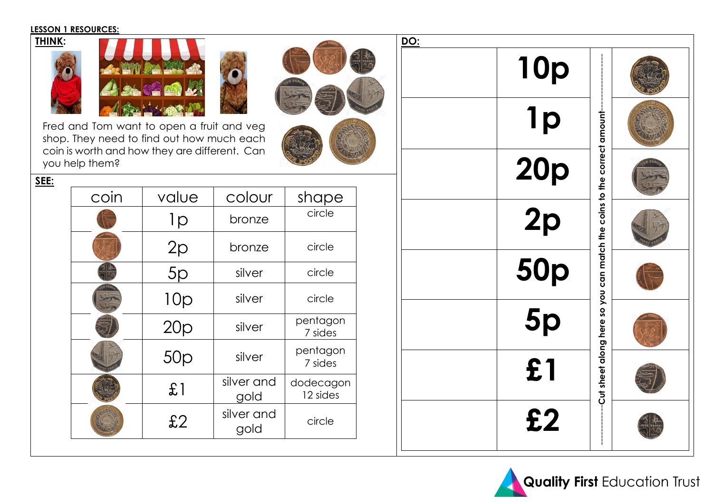### **LESSON 1 RESOURCES:**



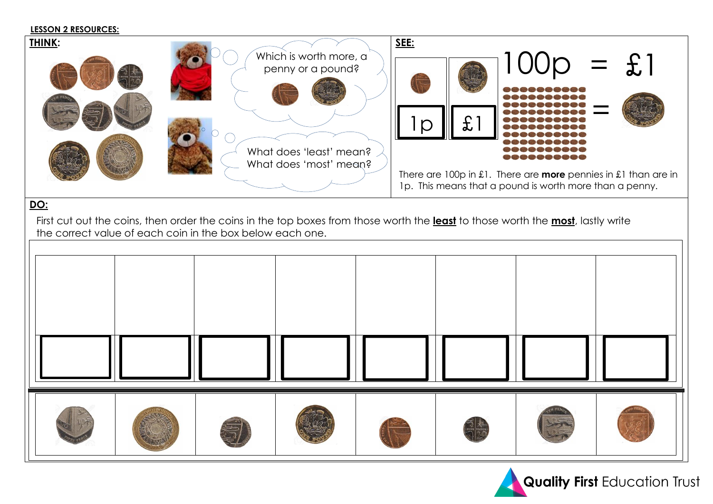### **LESSON 2 RESOURCES:**



# **DO:**

First cut out the coins, then order the coins in the top boxes from those worth the **least** to those worth the **most**, lastly write the correct value of each coin in the box below each one.



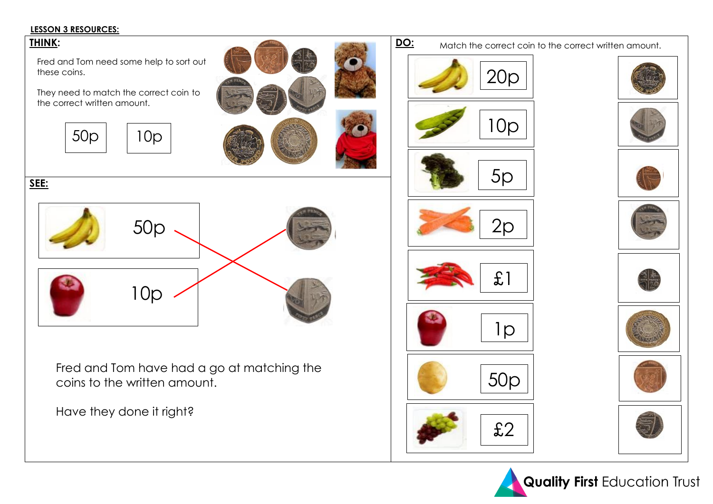# **LESSON 3 RESOURCES:**

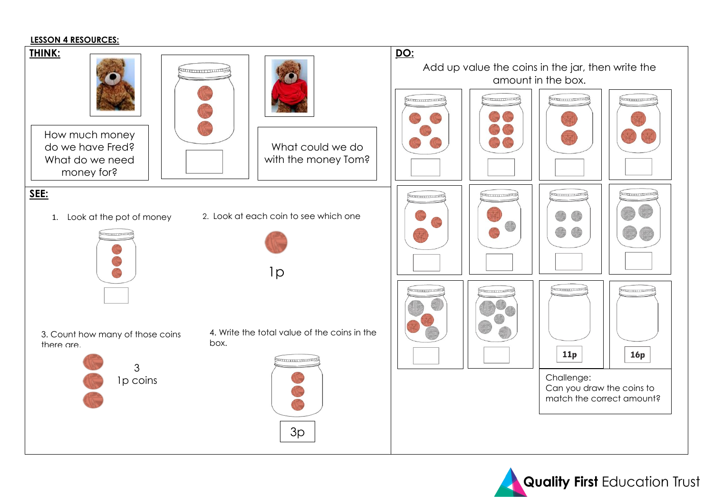# **LESSON 4 RESOURCES:**



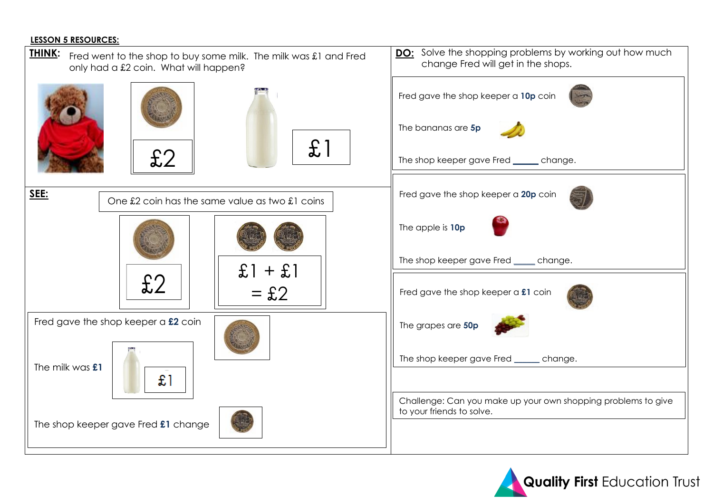# **LESSON 5 RESOURCES:**